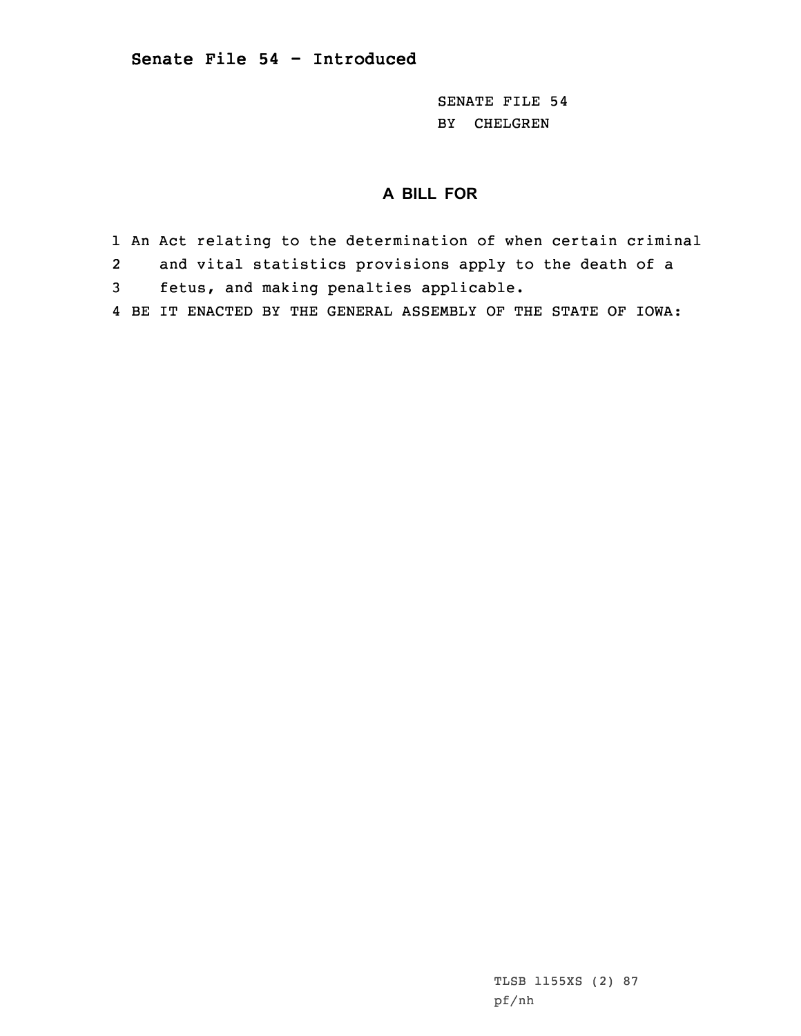SENATE FILE 54 BY CHELGREN

## **A BILL FOR**

- 1 An Act relating to the determination of when certain criminal
- 2and vital statistics provisions apply to the death of <sup>a</sup>
- 3 fetus, and making penalties applicable.
- 4 BE IT ENACTED BY THE GENERAL ASSEMBLY OF THE STATE OF IOWA: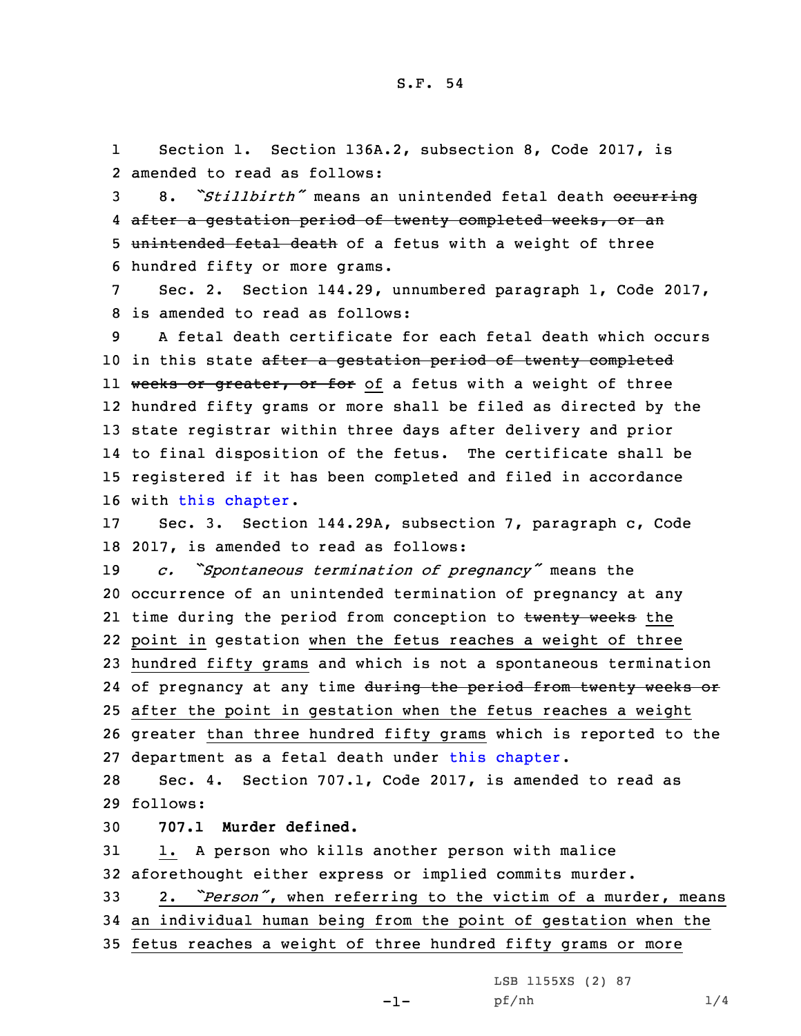1 Section 1. Section 136A.2, subsection 8, Code 2017, is 2 amended to read as follows:

3 8. "Stillbirth" means an unintended fetal death occurring 4 after <sup>a</sup> gestation period of twenty completed weeks, or an 5 unintended fetal death of a fetus with a weight of three 6 hundred fifty or more grams.

7 Sec. 2. Section 144.29, unnumbered paragraph 1, Code 2017, 8 is amended to read as follows:

 A fetal death certificate for each fetal death which occurs 10 in this state after a gestation period of twenty completed ll <del>weeks or greater, or for</del> of a fetus with a weight of three hundred fifty grams or more shall be filed as directed by the state registrar within three days after delivery and prior to final disposition of the fetus. The certificate shall be registered if it has been completed and filed in accordance with this [chapter](https://www.legis.iowa.gov/docs/code/2017/144.pdf).

17 Sec. 3. Section 144.29A, subsection 7, paragraph c, Code 18 2017, is amended to read as follows:

 *c. "Spontaneous termination of pregnancy"* means the occurrence of an unintended termination of pregnancy at any 21 time during the period from conception to <del>twenty weeks</del> the point in gestation when the fetus reaches <sup>a</sup> weight of three hundred fifty grams and which is not <sup>a</sup> spontaneous termination 24 of pregnancy at any time <del>during the period from twenty weeks or</del> after the point in gestation when the fetus reaches <sup>a</sup> weight greater than three hundred fifty grams which is reported to the department as <sup>a</sup> fetal death under this [chapter](https://www.legis.iowa.gov/docs/code/2017/144.pdf).

28 Sec. 4. Section 707.1, Code 2017, is amended to read as 29 follows:

30 **707.1 Murder defined.**

31 1. <sup>A</sup> person who kills another person with malice 32 aforethought either express or implied commits murder.

<sup>33</sup> 2. *"Person"*, when referring to the victim of <sup>a</sup> murder, means 34 an individual human being from the point of gestation when the 35 fetus reaches <sup>a</sup> weight of three hundred fifty grams or more

LSB 1155XS (2) 87

-1-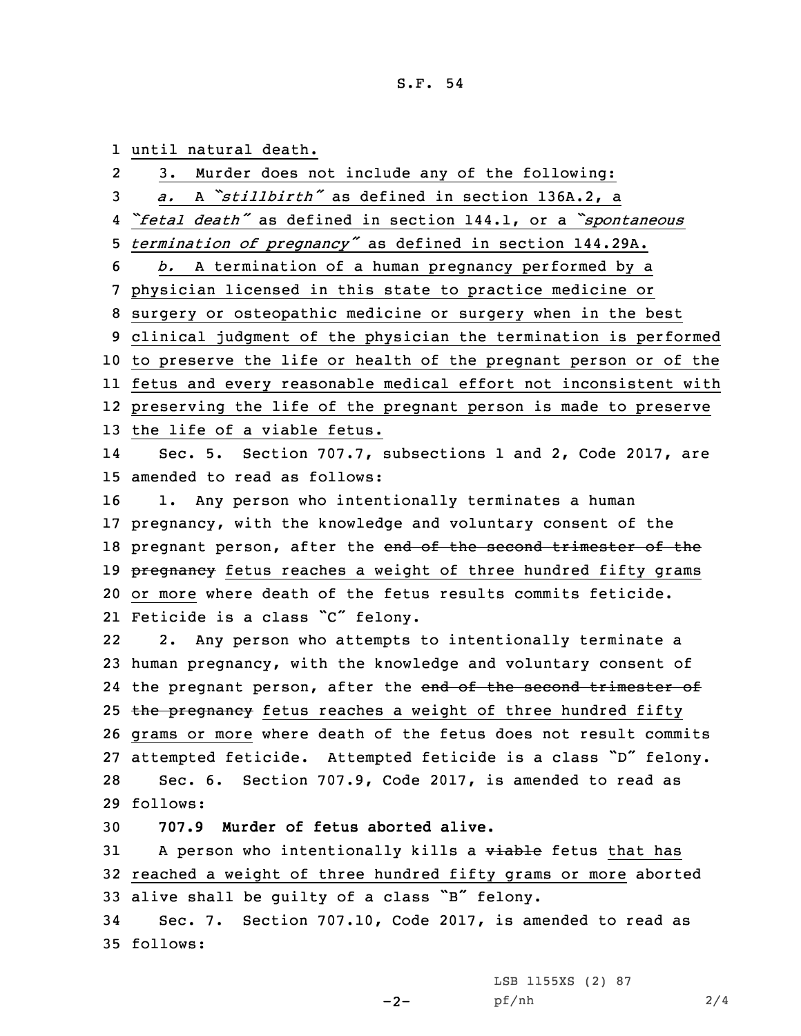## S.F. 54

1 until natural death.

|                | ancii nacarai acach                                                         |
|----------------|-----------------------------------------------------------------------------|
| $\overline{2}$ | Murder does not include any of the following:<br>3.                         |
| 3              | A "stillbirth" as defined in section 136A.2, a<br>$\partial$ .              |
| 4              | "fetal death" as defined in section 144.1, or a "spontaneous                |
| 5.             | termination of pregnancy" as defined in section 144.29A.                    |
| 6              | A termination of a human pregnancy performed by a<br>b.                     |
| 7 <sup>7</sup> | physician licensed in this state to practice medicine or                    |
| 8              | surgery or osteopathic medicine or surgery when in the best                 |
|                | 9 clinical judgment of the physician the termination is performed           |
|                | 10 to preserve the life or health of the pregnant person or of the          |
|                | 11 fetus and every reasonable medical effort not inconsistent with          |
|                | 12 preserving the life of the pregnant person is made to preserve           |
|                | 13 the life of a viable fetus.                                              |
| 14             | Sec. 5. Section 707.7, subsections 1 and 2, Code 2017, are                  |
|                | 15 amended to read as follows:                                              |
| 16             | 1. Any person who intentionally terminates a human                          |
|                | 17 pregnancy, with the knowledge and voluntary consent of the               |
|                | 18 pregnant person, after the end of the second trimester of the            |
|                | 19 <del>pregnancy</del> fetus reaches a weight of three hundred fifty grams |
|                | 20 or more where death of the fetus results commits feticide.               |
|                | 21 Feticide is a class "C" felony.                                          |
| 22             | 2. Any person who attempts to intentionally terminate a                     |
|                | 23 human pregnancy, with the knowledge and voluntary consent of             |
|                | 24 the pregnant person, after the end of the second trimester of            |
|                | 25 the pregnancy fetus reaches a weight of three hundred fifty              |
|                | 26 grams or more where death of the fetus does not result commits           |
|                | 27 attempted feticide. Attempted feticide is a class "D" felony.            |
| 28             | Sec. 6. Section 707.9, Code 2017, is amended to read as                     |
|                | 29 follows:                                                                 |
| 30             | 707.9 Murder of fetus aborted alive.                                        |
| 31             | A person who intentionally kills a viable fetus that has                    |
|                | 32 reached a weight of three hundred fifty grams or more aborted            |
|                | 33 alive shall be guilty of a class "B" felony.                             |
| 34             | Sec. 7. Section 707.10, Code 2017, is amended to read as                    |
|                | 35 follows:                                                                 |
|                |                                                                             |

-2-

LSB 1155XS (2) 87 pf/nh 2/4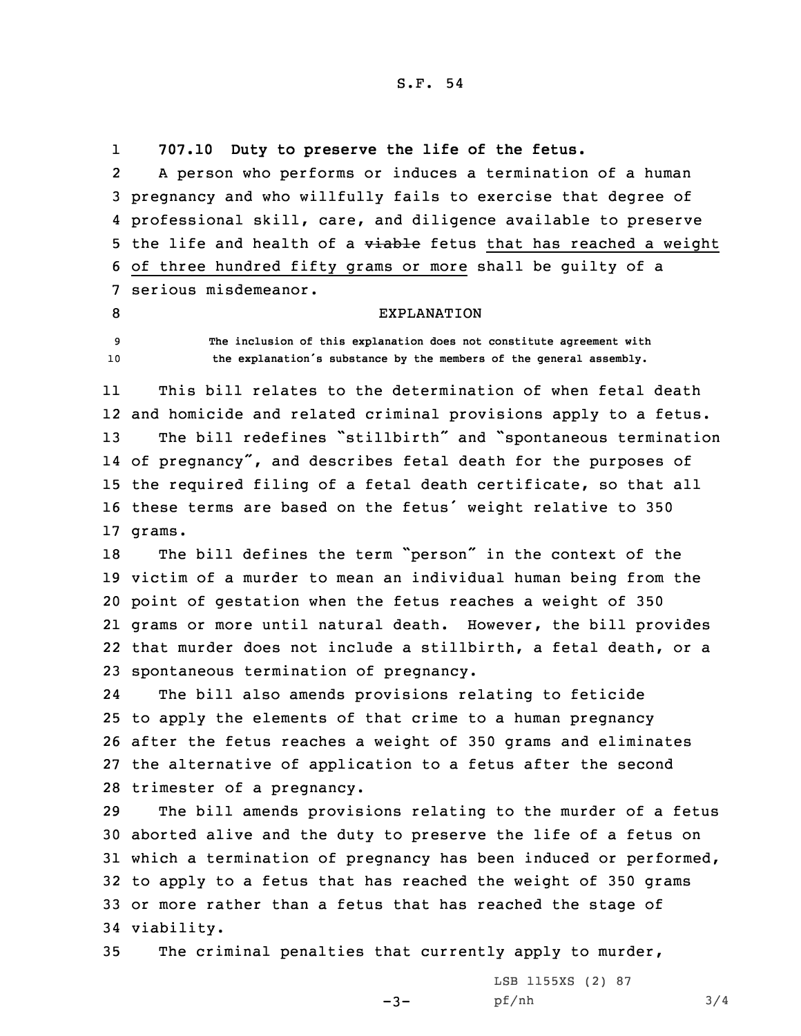S.F. 54

1**707.10 Duty to preserve the life of the fetus.**

2 <sup>A</sup> person who performs or induces <sup>a</sup> termination of <sup>a</sup> human 3 pregnancy and who willfully fails to exercise that degree of 4 professional skill, care, and diligence available to preserve 5 the life and health of a viable fetus that has reached a weight 6 of three hundred fifty grams or more shall be guilty of <sup>a</sup> 7 serious misdemeanor.

8 EXPLANATION

9 **The inclusion of this explanation does not constitute agreement with** <sup>10</sup> **the explanation's substance by the members of the general assembly.**

11 This bill relates to the determination of when fetal death 12 and homicide and related criminal provisions apply to <sup>a</sup> fetus. <sup>13</sup> The bill redefines "stillbirth" and "spontaneous termination 14 of pregnancy", and describes fetal death for the purposes of 15 the required filing of <sup>a</sup> fetal death certificate, so that all <sup>16</sup> these terms are based on the fetus' weight relative to <sup>350</sup> 17 grams.

 The bill defines the term "person" in the context of the victim of <sup>a</sup> murder to mean an individual human being from the point of gestation when the fetus reaches <sup>a</sup> weight of 350 grams or more until natural death. However, the bill provides that murder does not include <sup>a</sup> stillbirth, <sup>a</sup> fetal death, or <sup>a</sup> spontaneous termination of pregnancy.

24 The bill also amends provisions relating to feticide to apply the elements of that crime to <sup>a</sup> human pregnancy after the fetus reaches <sup>a</sup> weight of 350 grams and eliminates the alternative of application to <sup>a</sup> fetus after the second trimester of <sup>a</sup> pregnancy.

 The bill amends provisions relating to the murder of <sup>a</sup> fetus aborted alive and the duty to preserve the life of <sup>a</sup> fetus on which <sup>a</sup> termination of pregnancy has been induced or performed, to apply to <sup>a</sup> fetus that has reached the weight of 350 grams or more rather than <sup>a</sup> fetus that has reached the stage of viability.

35 The criminal penalties that currently apply to murder,

 $-3-$ 

LSB 1155XS (2) 87 pf/nh 3/4